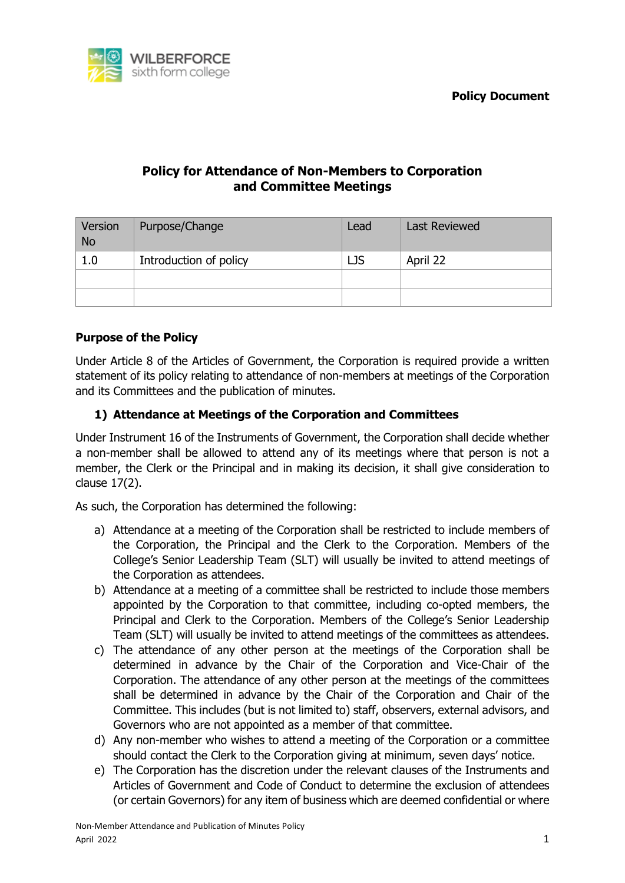

# **Policy for Attendance of Non-Members to Corporation and Committee Meetings**

| Version<br><b>No</b> | Purpose/Change         | Lead | <b>Last Reviewed</b> |
|----------------------|------------------------|------|----------------------|
| 1.0                  | Introduction of policy | LJS  | April 22             |
|                      |                        |      |                      |
|                      |                        |      |                      |

### **Purpose of the Policy**

Under Article 8 of the Articles of Government, the Corporation is required provide a written statement of its policy relating to attendance of non-members at meetings of the Corporation and its Committees and the publication of minutes.

#### **1) Attendance at Meetings of the Corporation and Committees**

Under Instrument 16 of the Instruments of Government, the Corporation shall decide whether a non-member shall be allowed to attend any of its meetings where that person is not a member, the Clerk or the Principal and in making its decision, it shall give consideration to clause 17(2).

As such, the Corporation has determined the following:

- a) Attendance at a meeting of the Corporation shall be restricted to include members of the Corporation, the Principal and the Clerk to the Corporation. Members of the College's Senior Leadership Team (SLT) will usually be invited to attend meetings of the Corporation as attendees.
- b) Attendance at a meeting of a committee shall be restricted to include those members appointed by the Corporation to that committee, including co-opted members, the Principal and Clerk to the Corporation. Members of the College's Senior Leadership Team (SLT) will usually be invited to attend meetings of the committees as attendees.
- c) The attendance of any other person at the meetings of the Corporation shall be determined in advance by the Chair of the Corporation and Vice-Chair of the Corporation. The attendance of any other person at the meetings of the committees shall be determined in advance by the Chair of the Corporation and Chair of the Committee. This includes (but is not limited to) staff, observers, external advisors, and Governors who are not appointed as a member of that committee.
- d) Any non-member who wishes to attend a meeting of the Corporation or a committee should contact the Clerk to the Corporation giving at minimum, seven days' notice.
- e) The Corporation has the discretion under the relevant clauses of the Instruments and Articles of Government and Code of Conduct to determine the exclusion of attendees (or certain Governors) for any item of business which are deemed confidential or where